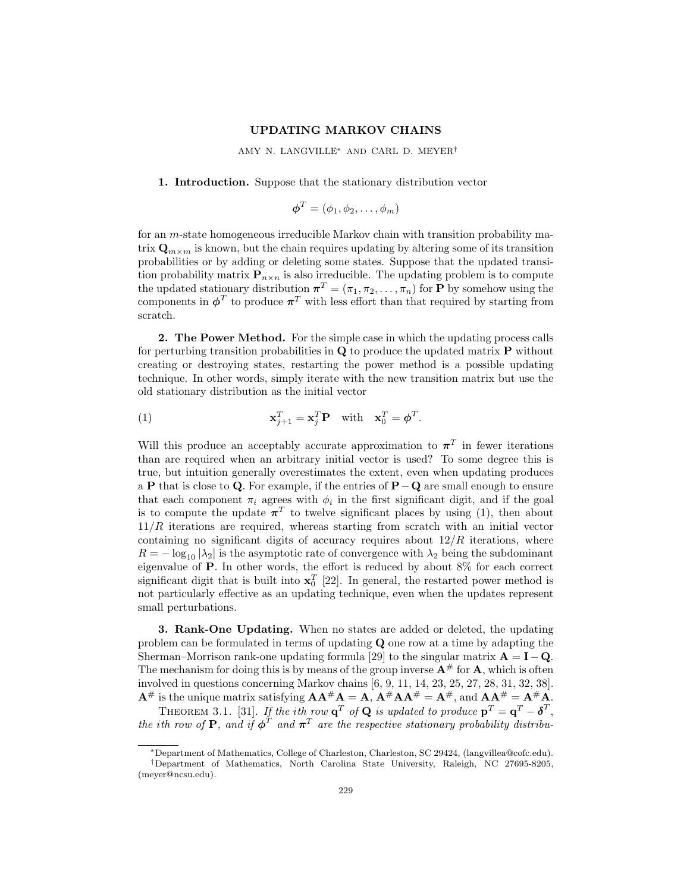### **UPDATING MARKOV CHAINS**

AMY N. LANGVILLE∗ AND CARL D. MEYER†

# **1. Introduction.** Suppose that the stationary distribution vector

$$
\boldsymbol{\phi}^T = (\phi_1, \phi_2, \ldots, \phi_m)
$$

for an *m*-state homogeneous irreducible Markov chain with transition probability matrix  $\mathbf{Q}_{m \times m}$  is known, but the chain requires updating by altering some of its transition probabilities or by adding or deleting some states. Suppose that the updated transition probability matrix  $\mathbf{P}_{n\times n}$  is also irreducible. The updating problem is to compute the updated stationary distribution  $\boldsymbol{\pi}^T = (\pi_1, \pi_2, \dots, \pi_n)$  for **P** by somehow using the components in  $\phi^T$  to produce  $\pi^T$  with less effort than that required by starting from scratch.

**2. The Power Method.** For the simple case in which the updating process calls for perturbing transition probabilities in **Q** to produce the updated matrix **P** without creating or destroying states, restarting the power method is a possible updating technique. In other words, simply iterate with the new transition matrix but use the old stationary distribution as the initial vector

(1) 
$$
\mathbf{x}_{j+1}^T = \mathbf{x}_j^T \mathbf{P} \text{ with } \mathbf{x}_0^T = \boldsymbol{\phi}^T.
$$

Will this produce an acceptably accurate approximation to  $\pi^T$  in fewer iterations than are required when an arbitrary initial vector is used? To some degree this is true, but intuition generally overestimates the extent, even when updating produces a **P** that is close to **Q***.* For example, if the entries of **P**−**Q** are small enough to ensure that each component  $\pi_i$  agrees with  $\phi_i$  in the first significant digit, and if the goal is to compute the update  $\pi^T$  to twelve significant places by using (1), then about 11*/R* iterations are required, whereas starting from scratch with an initial vector containing no significant digits of accuracy requires about 12*/R* iterations, where  $R = -\log_{10} |\lambda_2|$  is the asymptotic rate of convergence with  $\lambda_2$  being the subdominant eigenvalue of **P***.* In other words, the effort is reduced by about 8% for each correct significant digit that is built into  $\mathbf{x}_0^T$  [22]. In general, the restarted power method is not particularly effective as an updating technique, even when the updates represent small perturbations.

**3. Rank-One Updating.** When no states are added or deleted, the updating problem can be formulated in terms of updating **Q** one row at a time by adapting the Sherman–Morrison rank-one updating formula [29] to the singular matrix  $\mathbf{A} = \mathbf{I} - \mathbf{Q}$ *.* The mechanism for doing this is by means of the group inverse  $\mathbf{A}^{\#}$  for  $\mathbf{A}$ , which is often involved in questions concerning Markov chains [6, 9, 11, 14, 23, 25, 27, 28, 31, 32, 38].  $A^{\#}$  is the unique matrix satisfying  $AA^{\#}A = A$ ,  $A^{\#}AA^{\#} = A^{\#}$ , and  $AA^{\#} = A^{\#}A$ .

THEOREM 3.1. [31]. If the *i*th row  $\mathbf{q}^T$  of **Q** is updated to produce  $\mathbf{p}^T = \mathbf{q}^T - \boldsymbol{\delta}^T$ , the *i*th row of **P**, and if  $\phi^T$  and  $\pi^T$  are the respective stationary probability distribu-

<sup>∗</sup>Department of Mathematics, College of Charleston, Charleston, SC 29424, (langvillea@cofc.edu).

<sup>†</sup>Department of Mathematics, North Carolina State University, Raleigh, NC 27695-8205, (meyer@ncsu.edu).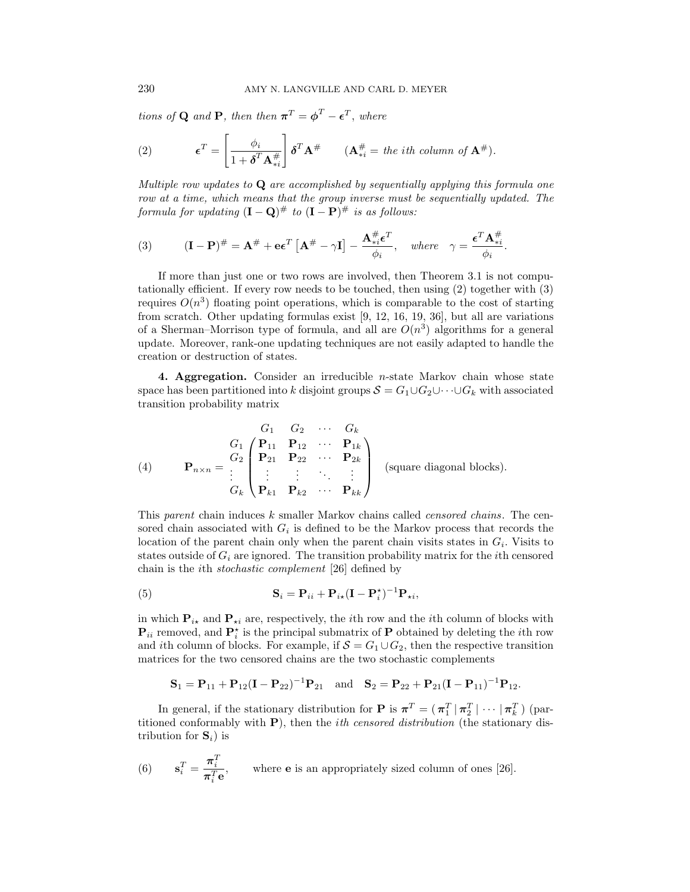tions of **Q** and **P**, then then  $\pi^T = \phi^T - \epsilon^T$ , where

(2) 
$$
\boldsymbol{\epsilon}^T = \begin{bmatrix} \phi_i \\ \frac{\phi_i}{1 + \boldsymbol{\delta}^T \mathbf{A}_{*i}^{\#}} \end{bmatrix} \boldsymbol{\delta}^T \mathbf{A}^{\#} \qquad (\mathbf{A}_{*i}^{\#} = \text{the } i\text{th column of } \mathbf{A}^{\#}).
$$

Multiple row updates to **Q** are accomplished by sequentially applying this formula one row at a time, which means that the group inverse must be sequentially updated. The formula for updating  $(I - Q)$ <sup>#</sup> to  $(I - P)$ <sup>#</sup> is as follows:

(3) 
$$
(\mathbf{I} - \mathbf{P})^{\#} = \mathbf{A}^{\#} + \mathbf{e} \epsilon^{T} \left[ \mathbf{A}^{\#} - \gamma \mathbf{I} \right] - \frac{\mathbf{A}^{\#}_{*i} \epsilon^{T}}{\phi_{i}}, \text{ where } \gamma = \frac{\epsilon^{T} \mathbf{A}^{\#}_{*i}}{\phi_{i}}.
$$

If more than just one or two rows are involved, then Theorem 3.1 is not computationally efficient. If every row needs to be touched, then using (2) together with (3) requires  $O(n^3)$  floating point operations, which is comparable to the cost of starting from scratch. Other updating formulas exist [9, 12, 16, 19, 36], but all are variations of a Sherman–Morrison type of formula, and all are  $O(n^3)$  algorithms for a general update. Moreover, rank-one updating techniques are not easily adapted to handle the creation or destruction of states.

**4. Aggregation.** Consider an irreducible *n*-state Markov chain whose state space has been partitioned into *k* disjoint groups  $S = G_1 \cup G_2 \cup \cdots \cup G_k$  with associated transition probability matrix

$$
\begin{array}{ll}\nG_1 & G_2 & \cdots & G_k \\
\text{(4)} & \mathbf{P}_{n \times n} = \begin{bmatrix} G_1 \\ G_2 \\ \vdots \\ G_k \end{bmatrix} \begin{pmatrix} \mathbf{P}_{11} & \mathbf{P}_{12} & \cdots & \mathbf{P}_{1k} \\ \mathbf{P}_{21} & \mathbf{P}_{22} & \cdots & \mathbf{P}_{2k} \\ \vdots & \vdots & \ddots & \vdots \\ \mathbf{P}_{k1} & \mathbf{P}_{k2} & \cdots & \mathbf{P}_{kk} \end{pmatrix} \text{ (square diagonal blocks)}.\n\end{array}
$$

This parent chain induces *k* smaller Markov chains called censored chains. The censored chain associated with  $G_i$  is defined to be the Markov process that records the location of the parent chain only when the parent chain visits states in  $G_i$ . Visits to states outside of *G<sup>i</sup>* are ignored. The transition probability matrix for the *i*th censored chain is the *i*th stochastic complement [26] defined by

(5) 
$$
\mathbf{S}_{i} = \mathbf{P}_{ii} + \mathbf{P}_{i\star}(\mathbf{I} - \mathbf{P}_{i}^{\star})^{-1} \mathbf{P}_{\star i},
$$

in which  $P_{i\star}$  and  $P_{\star i}$  are, respectively, the *i*th row and the *i*th column of blocks with  $\mathbf{P}_{ii}$  removed, and  $\mathbf{P}_{i}^{\star}$  is the principal submatrix of  $\mathbf{P}$  obtained by deleting the *i*th row and *i*th column of blocks. For example, if  $S = G_1 \cup G_2$ , then the respective transition matrices for the two censored chains are the two stochastic complements

$$
\mathbf{S}_1 = \mathbf{P}_{11} + \mathbf{P}_{12}(\mathbf{I} - \mathbf{P}_{22})^{-1}\mathbf{P}_{21} \text{ and } \mathbf{S}_2 = \mathbf{P}_{22} + \mathbf{P}_{21}(\mathbf{I} - \mathbf{P}_{11})^{-1}\mathbf{P}_{12}.
$$

In general, if the stationary distribution for **P** is  $\pi^T = (\pi_1^T | \pi_2^T | \cdots | \pi_k^T)$  (partitioned conformably with **P**), then the *i*th censored distribution (the stationary distribution for  $S_i$ ) is

(6) 
$$
\mathbf{s}_i^T = \frac{\boldsymbol{\pi}_i^T}{\boldsymbol{\pi}_i^T \mathbf{e}},
$$
 where **e** is an appropriately sized column of ones [26].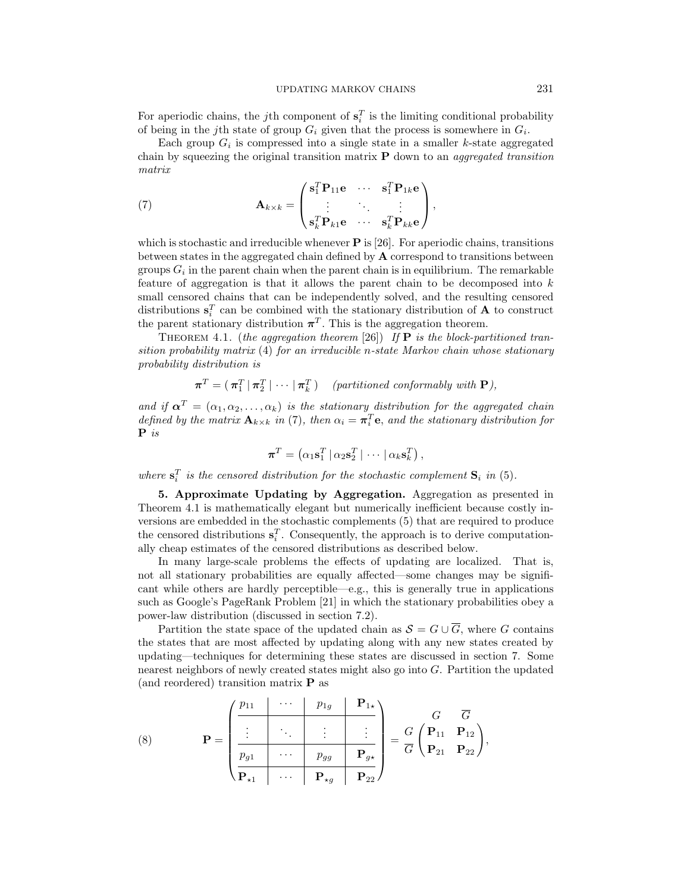For aperiodic chains, the *j*th component of  $\mathbf{s}_i^T$  is the limiting conditional probability of being in the *j*th state of group  $G_i$  given that the process is somewhere in  $G_i$ .

Each group  $G_i$  is compressed into a single state in a smaller *k*-state aggregated chain by squeezing the original transition matrix **P** down to an aggregated transition matrix

(7) 
$$
\mathbf{A}_{k \times k} = \begin{pmatrix} \mathbf{s}_1^T \mathbf{P}_{11} \mathbf{e} & \cdots & \mathbf{s}_1^T \mathbf{P}_{1k} \mathbf{e} \\ \vdots & \ddots & \vdots \\ \mathbf{s}_k^T \mathbf{P}_{k1} \mathbf{e} & \cdots & \mathbf{s}_k^T \mathbf{P}_{kk} \mathbf{e} \end{pmatrix},
$$

which is stochastic and irreducible whenever **P** is [26]. For aperiodic chains, transitions between states in the aggregated chain defined by **A** correspond to transitions between groups  $G_i$  in the parent chain when the parent chain is in equilibrium. The remarkable feature of aggregation is that it allows the parent chain to be decomposed into *k* small censored chains that can be independently solved, and the resulting censored distributions  $\mathbf{s}_i^T$  can be combined with the stationary distribution of **A** to construct the parent stationary distribution  $\pi^T$ . This is the aggregation theorem.

THEOREM 4.1. (the aggregation theorem [26]) If  $P$  is the block-partitioned transition probability matrix (4) for an irreducible *n*-state Markov chain whose stationary probability distribution is

 $\boldsymbol{\pi}^T = (\pi_1^T | \pi_2^T | \cdots | \pi_k^T)$  (partitioned conformably with **P**),

and if  $\alpha^T = (\alpha_1, \alpha_2, \ldots, \alpha_k)$  is the stationary distribution for the aggregated chain defined by the matrix  $\mathbf{A}_{k\times k}$  in (7), then  $\alpha_i = \pi_i^T \mathbf{e}$ , and the stationary distribution for **P** is

$$
\boldsymbol{\pi}^T = \left(\alpha_1 \mathbf{s}_1^T \,|\, \alpha_2 \mathbf{s}_2^T \,|\, \cdots \,|\, \alpha_k \mathbf{s}_k^T\right),\,
$$

where  $\mathbf{s}_i^T$  is the censored distribution for the stochastic complement  $\mathbf{S}_i$  in (5).

**5. Approximate Updating by Aggregation.** Aggregation as presented in Theorem 4.1 is mathematically elegant but numerically inefficient because costly inversions are embedded in the stochastic complements (5) that are required to produce the censored distributions  $\mathbf{s}_i^T$ . Consequently, the approach is to derive computationally cheap estimates of the censored distributions as described below.

In many large-scale problems the effects of updating are localized. That is, not all stationary probabilities are equally affected—some changes may be significant while others are hardly perceptible—e.g., this is generally true in applications such as Google's PageRank Problem [21] in which the stationary probabilities obey a power-law distribution (discussed in section 7.2).

Partition the state space of the updated chain as  $S = G \cup \overline{G}$ , where *G* contains the states that are most affected by updating along with any new states created by updating—techniques for determining these states are discussed in section 7. Some nearest neighbors of newly created states might also go into *G*. Partition the updated (and reordered) transition matrix **P** as

(8) 
$$
\mathbf{P} = \begin{pmatrix} p_{11} & \cdots & p_{1g} & \mathbf{P}_{1\star} \\ \vdots & \ddots & \vdots & \vdots \\ \hline p_{g1} & \cdots & p_{gg} & \mathbf{P}_{g\star} \\ \hline \mathbf{P}_{\star 1} & \cdots & \mathbf{P}_{\star g} & \mathbf{P}_{22} \end{pmatrix} = \frac{G}{G} \begin{pmatrix} \mathbf{P}_{11} & \mathbf{P}_{12} \\ \mathbf{P}_{21} & \mathbf{P}_{22} \end{pmatrix},
$$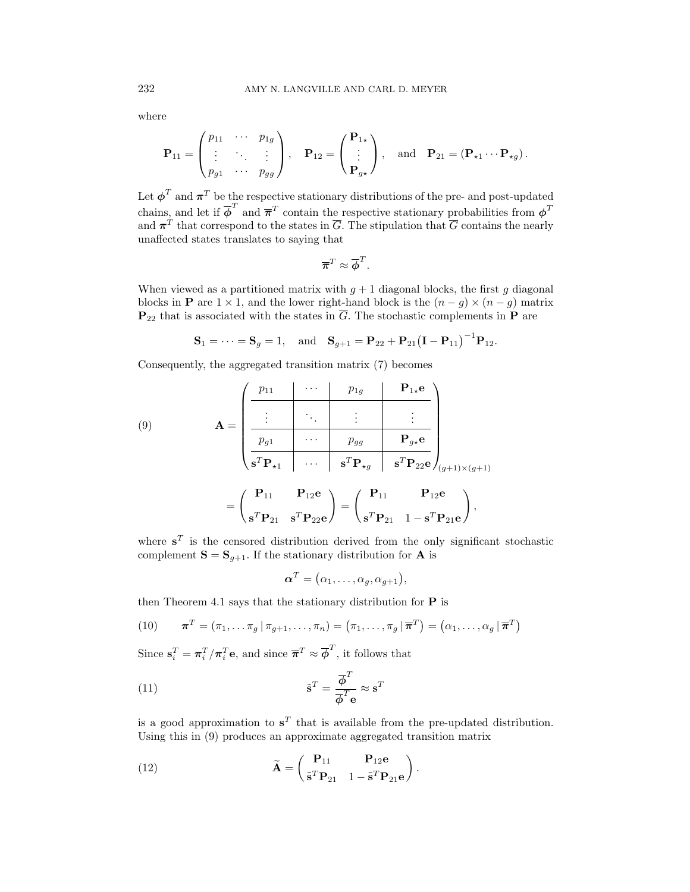where

$$
\mathbf{P}_{11} = \begin{pmatrix} p_{11} & \cdots & p_{1g} \\ \vdots & \ddots & \vdots \\ p_{g1} & \cdots & p_{gg} \end{pmatrix}, \quad \mathbf{P}_{12} = \begin{pmatrix} \mathbf{P}_{1\star} \\ \vdots \\ \mathbf{P}_{g\star} \end{pmatrix}, \quad \text{and} \quad \mathbf{P}_{21} = (\mathbf{P}_{\star 1} \cdots \mathbf{P}_{\star g}).
$$

Let  $\phi^T$  and  $\pi^T$  be the respective stationary distributions of the pre- and post-updated chains, and let if  $\overline{\phi}^T$  and  $\overline{\pi}^T$  contain the respective stationary probabilities from  $\phi^T$ and  $\pi^T$  that correspond to the states in  $\overline{G}$ . The stipulation that  $\overline{G}$  contains the nearly unaffected states translates to saying that

$$
\overline{\boldsymbol{\pi}}^T \approx \overline{\boldsymbol{\phi}}^T.
$$

When viewed as a partitioned matrix with  $q + 1$  diagonal blocks, the first *g* diagonal blocks in **P** are  $1 \times 1$ , and the lower right-hand block is the  $(n - q) \times (n - q)$  matrix  $\mathbf{P}_{22}$  that is associated with the states in  $\overline{G}$ . The stochastic complements in  $\overline{P}$  are

$$
S_1 = \cdots = S_g = 1
$$
, and  $S_{g+1} = P_{22} + P_{21} (I - P_{11})^{-1} P_{12}$ .

Consequently, the aggregated transition matrix (7) becomes

(9)  
\n
$$
\mathbf{A} = \begin{pmatrix}\n p_{11} & \cdots & p_{1g} & \mathbf{P}_{1*}\mathbf{e} \\
 \vdots & \ddots & \vdots & \vdots \\
 p_{g1} & \cdots & p_{gg} & \mathbf{P}_{g*}\mathbf{e} \\
 \hline\n s^T \mathbf{P}_{11} & \cdots & s^T \mathbf{P}_{1g} & s^T \mathbf{P}_{22} \mathbf{e} \\
 s^T \mathbf{P}_{21} & s^T \mathbf{P}_{22} \mathbf{e}\n \end{pmatrix} = \begin{pmatrix}\n \mathbf{P}_{11} & \mathbf{P}_{12} \mathbf{e} \\
 s^T \mathbf{P}_{21} & 1 - s^T \mathbf{P}_{21} \mathbf{e}\n \end{pmatrix},
$$

where  $s^T$  is the censored distribution derived from the only significant stochastic complement  $S = S_{q+1}$ . If the stationary distribution for **A** is

$$
\boldsymbol{\alpha}^T = (\alpha_1, \ldots, \alpha_g, \alpha_{g+1}),
$$

then Theorem 4.1 says that the stationary distribution for **P** is

(10) 
$$
\boldsymbol{\pi}^T = (\pi_1, \ldots \pi_g | \pi_{g+1}, \ldots, \pi_n) = (\pi_1, \ldots, \pi_g | \overline{\boldsymbol{\pi}}^T) = (\alpha_1, \ldots, \alpha_g | \overline{\boldsymbol{\pi}}^T)
$$

Since  $\mathbf{s}_i^T = \pi_i^T / \pi_i^T \mathbf{e}$ , and since  $\overline{\pi}^T \approx \overline{\phi}^T$ , it follows that

(11) 
$$
\tilde{\mathbf{s}}^T = \frac{\overline{\phi}^T}{\overline{\phi}^T \mathbf{e}} \approx \mathbf{s}^T
$$

is a good approximation to  $s^T$  that is available from the pre-updated distribution. Using this in (9) produces an approximate aggregated transition matrix

(12) 
$$
\widetilde{\mathbf{A}} = \begin{pmatrix} \mathbf{P}_{11} & \mathbf{P}_{12}\mathbf{e} \\ \widetilde{\mathbf{s}}^T \mathbf{P}_{21} & 1 - \widetilde{\mathbf{s}}^T \mathbf{P}_{21}\mathbf{e} \end{pmatrix}.
$$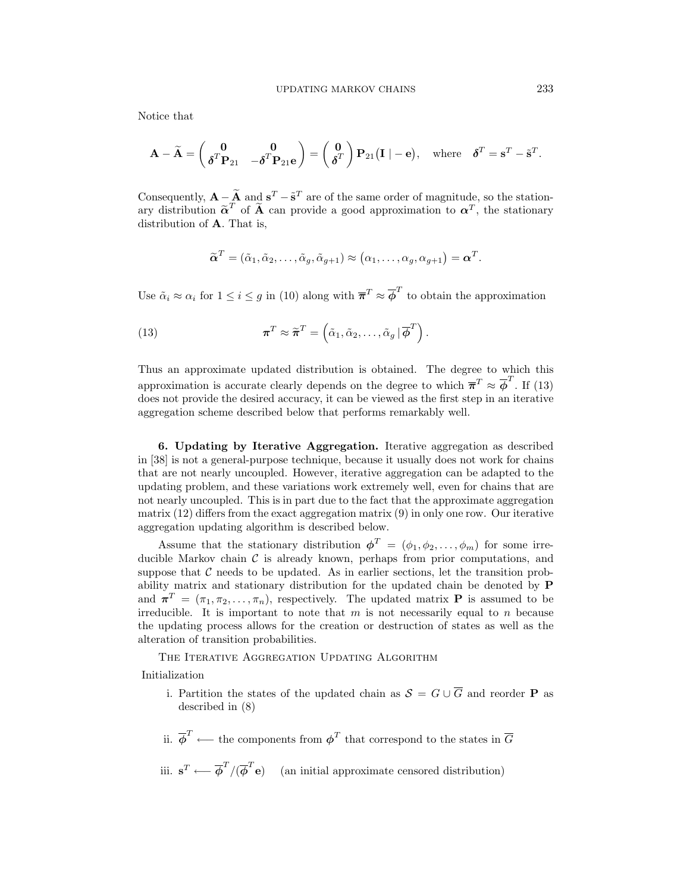Notice that

$$
\mathbf{A} - \widetilde{\mathbf{A}} = \begin{pmatrix} \mathbf{0} & \mathbf{0} \\ \boldsymbol{\delta}^T \mathbf{P}_{21} & -\boldsymbol{\delta}^T \mathbf{P}_{21} \mathbf{e} \end{pmatrix} = \begin{pmatrix} \mathbf{0} \\ \boldsymbol{\delta}^T \end{pmatrix} \mathbf{P}_{21} (\mathbf{I} \mid -\mathbf{e}), \text{ where } \boldsymbol{\delta}^T = \mathbf{s}^T - \widetilde{\mathbf{s}}^T.
$$

Consequently,  $\mathbf{A} - \widetilde{\mathbf{A}}$  and  $\mathbf{s}^T - \widetilde{\mathbf{s}}^T$  are of the same order of magnitude, so the stationary distribution  $\tilde{\alpha}^T$  of  $\tilde{A}$  can provide a good approximation to  $\alpha^T$ , the stationary distribution of **A***.* That is,

$$
\widetilde{\boldsymbol{\alpha}}^T = (\widetilde{\alpha}_1, \widetilde{\alpha}_2, \ldots, \widetilde{\alpha}_g, \widetilde{\alpha}_{g+1}) \approx (\alpha_1, \ldots, \alpha_g, \alpha_{g+1}) = \boldsymbol{\alpha}^T.
$$

Use  $\tilde{\alpha}_i \approx \alpha_i$  for  $1 \leq i \leq g$  in (10) along with  $\overline{\pi}^T \approx \overline{\phi}^T$  to obtain the approximation

(13) 
$$
\boldsymbol{\pi}^T \approx \widetilde{\boldsymbol{\pi}}^T = \left( \tilde{\alpha}_1, \tilde{\alpha}_2, \ldots, \tilde{\alpha}_g \, | \, \overline{\boldsymbol{\phi}}^T \right).
$$

Thus an approximate updated distribution is obtained. The degree to which this approximation is accurate clearly depends on the degree to which  $\overline{\pi}^T \approx \overline{\phi}^T$ . If (13) does not provide the desired accuracy, it can be viewed as the first step in an iterative aggregation scheme described below that performs remarkably well.

**6. Updating by Iterative Aggregation.** Iterative aggregation as described in [38] is not a general-purpose technique, because it usually does not work for chains that are not nearly uncoupled. However, iterative aggregation can be adapted to the updating problem, and these variations work extremely well, even for chains that are not nearly uncoupled. This is in part due to the fact that the approximate aggregation matrix  $(12)$  differs from the exact aggregation matrix  $(9)$  in only one row. Our iterative aggregation updating algorithm is described below.

Assume that the stationary distribution  $\phi^T = (\phi_1, \phi_2, \dots, \phi_m)$  for some irreducible Markov chain  $\mathcal C$  is already known, perhaps from prior computations, and suppose that  $\mathcal C$  needs to be updated. As in earlier sections, let the transition probability matrix and stationary distribution for the updated chain be denoted by **P** and  $\pi^T = (\pi_1, \pi_2, \ldots, \pi_n)$ , respectively. The updated matrix **P** is assumed to be irreducible. It is important to note that *m* is not necessarily equal to *n* because the updating process allows for the creation or destruction of states as well as the alteration of transition probabilities.

THE ITERATIVE AGGREGATION UPDATING ALGORITHM

Initialization

- i. Partition the states of the updated chain as  $S = G \cup \overline{G}$  and reorder **P** as described in (8)
- ii.  $\overline{\phi}^T \leftarrow$  the components from  $\phi^T$  that correspond to the states in  $\overline{G}$

iii. 
$$
\mathbf{s}^T \longleftarrow \overline{\phi}^T / (\overline{\phi}^T \mathbf{e})
$$
 (an initial approximate censored distribution)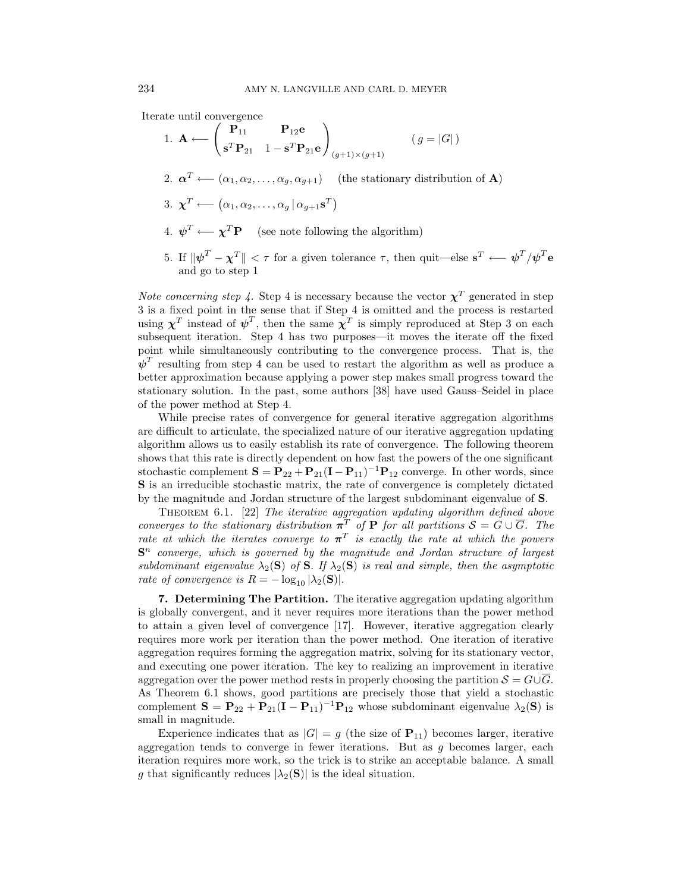Iterate until convergence

1. 
$$
\mathbf{A} \leftarrow \begin{pmatrix} \mathbf{P}_{11} & \mathbf{P}_{12}\mathbf{e} \\ \mathbf{s}^T\mathbf{P}_{21} & 1 - \mathbf{s}^T\mathbf{P}_{21}\mathbf{e} \end{pmatrix}_{(g+1)\times(g+1)}
$$
  $(g = |G|)$   
\n2.  $\boldsymbol{\alpha}^T \leftarrow (\alpha_1, \alpha_2, ..., \alpha_g, \alpha_{g+1})$  (the stationary distribution of **A**)  
\n3.  $\boldsymbol{\chi}^T \leftarrow (\alpha_1, \alpha_2, ..., \alpha_g | \alpha_{g+1}\mathbf{s}^T)$   
\n4.  $\boldsymbol{\psi}^T \leftarrow \boldsymbol{\chi}^T\mathbf{P}$  (see note following the algorithm)  
\n5. If  $\|\boldsymbol{\psi}^T - \boldsymbol{\chi}^T\| < \tau$  for a given tolerance  $\tau$ , then quit—else  $\mathbf{s}^T \leftarrow \boldsymbol{\psi}^T/\boldsymbol{\psi}^T\mathbf{e}$   
\nand go to step 1

*Note concerning step 4.* Step 4 is necessary because the vector  $\chi^T$  generated in step 3 is a fixed point in the sense that if Step 4 is omitted and the process is restarted using  $\chi^T$  instead of  $\psi^T$ , then the same  $\chi^T$  is simply reproduced at Step 3 on each subsequent iteration. Step 4 has two purposes—it moves the iterate off the fixed point while simultaneously contributing to the convergence process. That is, the  $\psi^T$  resulting from step 4 can be used to restart the algorithm as well as produce a better approximation because applying a power step makes small progress toward the stationary solution. In the past, some authors [38] have used Gauss–Seidel in place of the power method at Step 4.

While precise rates of convergence for general iterative aggregation algorithms are difficult to articulate, the specialized nature of our iterative aggregation updating algorithm allows us to easily establish its rate of convergence. The following theorem shows that this rate is directly dependent on how fast the powers of the one significant stochastic complement  $S = P_{22} + P_{21}(I - P_{11})^{-1}P_{12}$  converge. In other words, since **S** is an irreducible stochastic matrix, the rate of convergence is completely dictated by the magnitude and Jordan structure of the largest subdominant eigenvalue of **S***.*

THEOREM 6.1. [22] The iterative aggregation updating algorithm defined above converges to the stationary distribution  $\pi^T$  of **P** for all partitions  $S = G \cup \overline{G}$ . The rate at which the iterates converge to  $\pi^T$  is exactly the rate at which the powers  $S<sup>n</sup>$  converge, which is governed by the magnitude and Jordan structure of largest subdominant eigenvalue  $\lambda_2(S)$  of S. If  $\lambda_2(S)$  is real and simple, then the asymptotic rate of convergence is  $R = -\log_{10} |\lambda_2(\mathbf{S})|$ .

**7. Determining The Partition.** The iterative aggregation updating algorithm is globally convergent, and it never requires more iterations than the power method to attain a given level of convergence [17]. However, iterative aggregation clearly requires more work per iteration than the power method. One iteration of iterative aggregation requires forming the aggregation matrix, solving for its stationary vector, and executing one power iteration. The key to realizing an improvement in iterative aggregation over the power method rests in properly choosing the partition  $S = G \cup \overline{G}$ . As Theorem 6.1 shows, good partitions are precisely those that yield a stochastic complement  $S = P_{22} + P_{21}(I - P_{11})^{-1}P_{12}$  whose subdominant eigenvalue  $\lambda_2(S)$  is small in magnitude.

Experience indicates that as  $|G| = g$  (the size of  $P_{11}$ ) becomes larger, iterative aggregation tends to converge in fewer iterations. But as *g* becomes larger, each iteration requires more work, so the trick is to strike an acceptable balance. A small *g* that significantly reduces  $|\lambda_2(\mathbf{S})|$  is the ideal situation.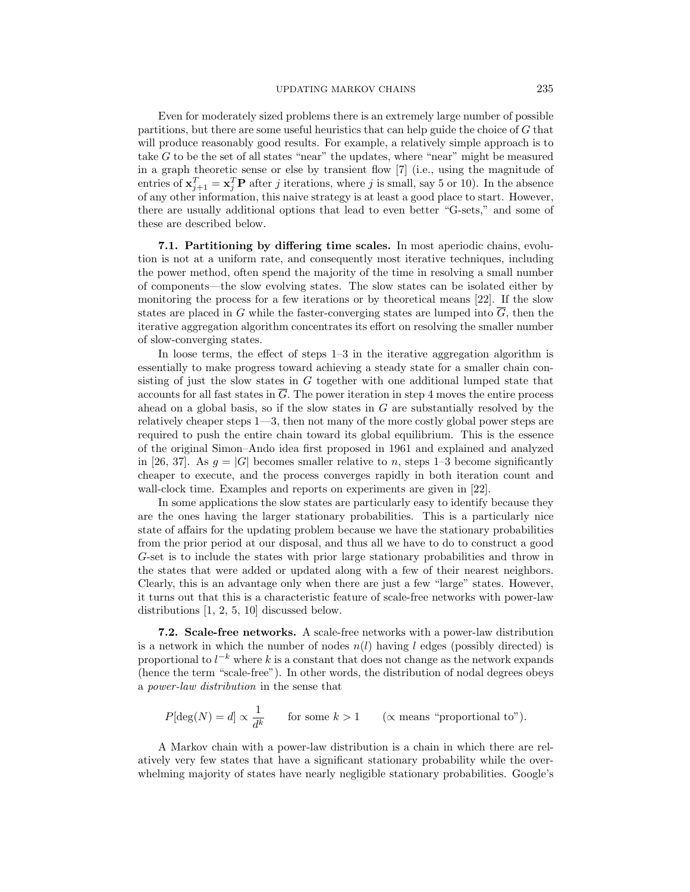Even for moderately sized problems there is an extremely large number of possible partitions, but there are some useful heuristics that can help guide the choice of *G* that will produce reasonably good results. For example, a relatively simple approach is to take *G* to be the set of all states "near" the updates, where "near" might be measured in a graph theoretic sense or else by transient flow [7] (i.e., using the magnitude of entries of  $\mathbf{x}_{j+1}^T = \mathbf{x}_j^T \mathbf{P}$  after *j* iterations, where *j* is small, say 5 or 10). In the absence of any other information, this naive strategy is at least a good place to start. However, there are usually additional options that lead to even better "G-sets," and some of these are described below.

**7.1. Partitioning by differing time scales.** In most aperiodic chains, evolution is not at a uniform rate, and consequently most iterative techniques, including the power method, often spend the majority of the time in resolving a small number of components—the slow evolving states. The slow states can be isolated either by monitoring the process for a few iterations or by theoretical means [22]. If the slow states are placed in *G* while the faster-converging states are lumped into  $\overline{G}$ , then the iterative aggregation algorithm concentrates its effort on resolving the smaller number of slow-converging states.

In loose terms, the effect of steps 1–3 in the iterative aggregation algorithm is essentially to make progress toward achieving a steady state for a smaller chain consisting of just the slow states in *G* together with one additional lumped state that accounts for all fast states in  $\overline{G}$ . The power iteration in step 4 moves the entire process ahead on a global basis, so if the slow states in *G* are substantially resolved by the relatively cheaper steps 1—3, then not many of the more costly global power steps are required to push the entire chain toward its global equilibrium. This is the essence of the original Simon–Ando idea first proposed in 1961 and explained and analyzed in [26, 37]. As  $g = |G|$  becomes smaller relative to *n*, steps 1–3 become significantly cheaper to execute, and the process converges rapidly in both iteration count and wall-clock time. Examples and reports on experiments are given in [22].

In some applications the slow states are particularly easy to identify because they are the ones having the larger stationary probabilities. This is a particularly nice state of affairs for the updating problem because we have the stationary probabilities from the prior period at our disposal, and thus all we have to do to construct a good *G*-set is to include the states with prior large stationary probabilities and throw in the states that were added or updated along with a few of their nearest neighbors. Clearly, this is an advantage only when there are just a few "large" states. However, it turns out that this is a characteristic feature of scale-free networks with power-law distributions [1, 2, 5, 10] discussed below.

**7.2. Scale-free networks.** A scale-free networks with a power-law distribution is a network in which the number of nodes  $n(l)$  having *l* edges (possibly directed) is proportional to  $l^{-k}$  where  $k$  is a constant that does not change as the network expands (hence the term "scale-free"). In other words, the distribution of nodal degrees obeys a power-law distribution in the sense that

$$
P[\deg(N) = d] \propto \frac{1}{d^k}
$$
 for some  $k > 1$  ( $\propto$  means "proportional to").

A Markov chain with a power-law distribution is a chain in which there are relatively very few states that have a significant stationary probability while the overwhelming majority of states have nearly negligible stationary probabilities. Google's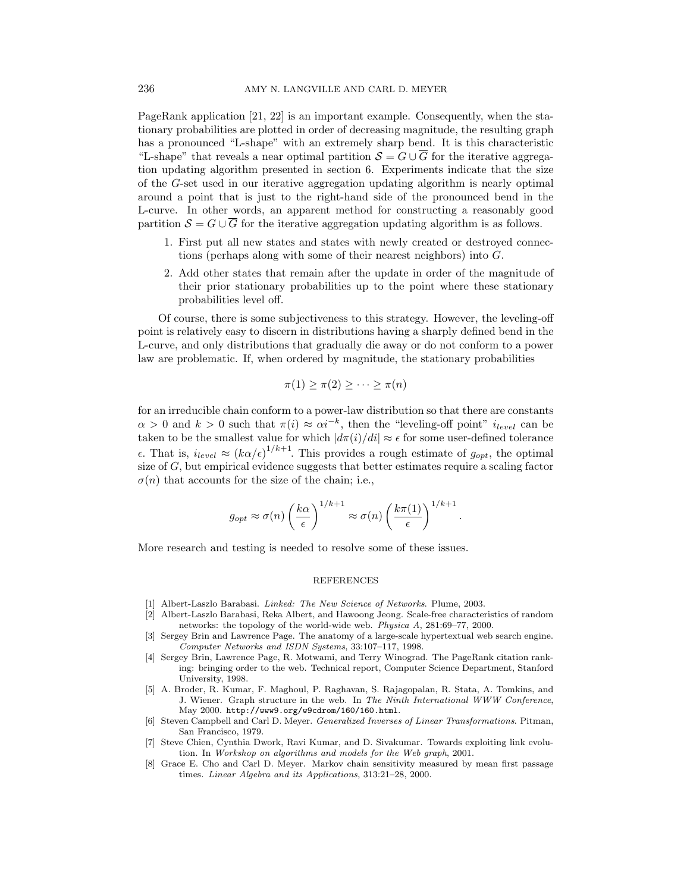PageRank application [21, 22] is an important example. Consequently, when the stationary probabilities are plotted in order of decreasing magnitude, the resulting graph has a pronounced "L-shape" with an extremely sharp bend. It is this characteristic "L-shape" that reveals a near optimal partition  $S = G \cup \overline{G}$  for the iterative aggregation updating algorithm presented in section 6. Experiments indicate that the size of the *G*-set used in our iterative aggregation updating algorithm is nearly optimal around a point that is just to the right-hand side of the pronounced bend in the L-curve. In other words, an apparent method for constructing a reasonably good partition  $S = G \cup \overline{G}$  for the iterative aggregation updating algorithm is as follows.

- 1. First put all new states and states with newly created or destroyed connections (perhaps along with some of their nearest neighbors) into *G.*
- 2. Add other states that remain after the update in order of the magnitude of their prior stationary probabilities up to the point where these stationary probabilities level off.

Of course, there is some subjectiveness to this strategy. However, the leveling-off point is relatively easy to discern in distributions having a sharply defined bend in the L-curve, and only distributions that gradually die away or do not conform to a power law are problematic. If, when ordered by magnitude, the stationary probabilities

$$
\pi(1) \geq \pi(2) \geq \cdots \geq \pi(n)
$$

for an irreducible chain conform to a power-law distribution so that there are constants  $\alpha > 0$  and  $k > 0$  such that  $\pi(i) \approx \alpha i^{-k}$ , then the "leveling-off point" *i*<sub>level</sub> can be taken to be the smallest value for which  $|d\pi(i)/di| \approx \epsilon$  for some user-defined tolerance  $\epsilon$ *.* That is,  $i_{level} \approx (k\alpha/\epsilon)^{1/k+1}$ . This provides a rough estimate of  $g_{opt}$ , the optimal size of *G,* but empirical evidence suggests that better estimates require a scaling factor  $\sigma(n)$  that accounts for the size of the chain; i.e.,

$$
g_{opt} \approx \sigma(n) \left(\frac{k\alpha}{\epsilon}\right)^{1/k+1} \approx \sigma(n) \left(\frac{k\pi(1)}{\epsilon}\right)^{1/k+1}.
$$

More research and testing is needed to resolve some of these issues.

### REFERENCES

- [1] Albert-Laszlo Barabasi. *Linked: The New Science of Networks*. Plume, 2003.
- [2] Albert-Laszlo Barabasi, Reka Albert, and Hawoong Jeong. Scale-free characteristics of random networks: the topology of the world-wide web. *Physica A*, 281:69–77, 2000.
- [3] Sergey Brin and Lawrence Page. The anatomy of a large-scale hypertextual web search engine. *Computer Networks and ISDN Systems*, 33:107–117, 1998.
- [4] Sergey Brin, Lawrence Page, R. Motwami, and Terry Winograd. The PageRank citation ranking: bringing order to the web. Technical report, Computer Science Department, Stanford University, 1998.
- [5] A. Broder, R. Kumar, F. Maghoul, P. Raghavan, S. Rajagopalan, R. Stata, A. Tomkins, and J. Wiener. Graph structure in the web. In *The Ninth International WWW Conference*, May 2000. http://www9.org/w9cdrom/160/160.html.
- [6] Steven Campbell and Carl D. Meyer. *Generalized Inverses of Linear Transformations*. Pitman, San Francisco, 1979.
- [7] Steve Chien, Cynthia Dwork, Ravi Kumar, and D. Sivakumar. Towards exploiting link evolution. In *Workshop on algorithms and models for the Web graph*, 2001.
- [8] Grace E. Cho and Carl D. Meyer. Markov chain sensitivity measured by mean first passage times. *Linear Algebra and its Applications*, 313:21–28, 2000.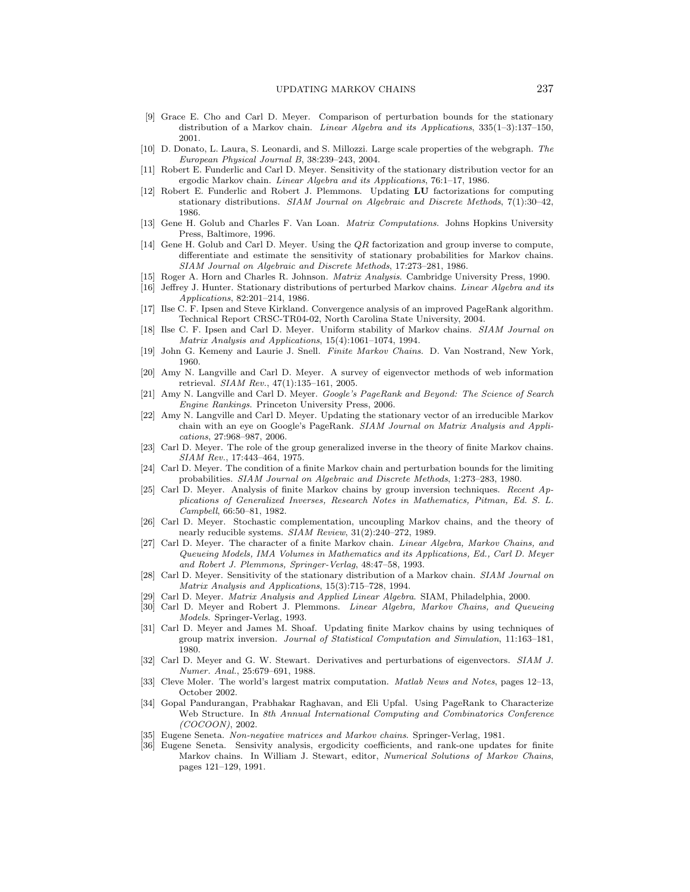#### UPDATING MARKOV CHAINS 237

- [9] Grace E. Cho and Carl D. Meyer. Comparison of perturbation bounds for the stationary distribution of a Markov chain. *Linear Algebra and its Applications*, 335(1–3):137–150, 2001.
- [10] D. Donato, L. Laura, S. Leonardi, and S. Millozzi. Large scale properties of the webgraph. *The European Physical Journal B*, 38:239–243, 2004.
- [11] Robert E. Funderlic and Carl D. Meyer. Sensitivity of the stationary distribution vector for an ergodic Markov chain. *Linear Algebra and its Applications*, 76:1–17, 1986.
- [12] Robert E. Funderlic and Robert J. Plemmons. Updating **LU** factorizations for computing stationary distributions. *SIAM Journal on Algebraic and Discrete Methods*, 7(1):30–42, 1986.
- [13] Gene H. Golub and Charles F. Van Loan. *Matrix Computations*. Johns Hopkins University Press, Baltimore, 1996.
- [14] Gene H. Golub and Carl D. Meyer. Using the  $QR$  factorization and group inverse to compute, differentiate and estimate the sensitivity of stationary probabilities for Markov chains. *SIAM Journal on Algebraic and Discrete Methods*, 17:273–281, 1986.
- [15] Roger A. Horn and Charles R. Johnson. *Matrix Analysis*. Cambridge University Press, 1990.
- [16] Jeffrey J. Hunter. Stationary distributions of perturbed Markov chains. *Linear Algebra and its Applications*, 82:201–214, 1986.
- [17] Ilse C. F. Ipsen and Steve Kirkland. Convergence analysis of an improved PageRank algorithm. Technical Report CRSC-TR04-02, North Carolina State University, 2004.
- [18] Ilse C. F. Ipsen and Carl D. Meyer. Uniform stability of Markov chains. *SIAM Journal on Matrix Analysis and Applications*, 15(4):1061–1074, 1994.
- [19] John G. Kemeny and Laurie J. Snell. *Finite Markov Chains*. D. Van Nostrand, New York, 1960.
- [20] Amy N. Langville and Carl D. Meyer. A survey of eigenvector methods of web information retrieval. *SIAM Rev.*, 47(1):135–161, 2005.
- [21] Amy N. Langville and Carl D. Meyer. *Google's PageRank and Beyond: The Science of Search Engine Rankings*. Princeton University Press, 2006.
- [22] Amy N. Langville and Carl D. Meyer. Updating the stationary vector of an irreducible Markov chain with an eye on Google's PageRank. *SIAM Journal on Matrix Analysis and Applications*, 27:968–987, 2006.
- [23] Carl D. Meyer. The role of the group generalized inverse in the theory of finite Markov chains. *SIAM Rev.*, 17:443–464, 1975.
- [24] Carl D. Meyer. The condition of a finite Markov chain and perturbation bounds for the limiting probabilities. *SIAM Journal on Algebraic and Discrete Methods*, 1:273–283, 1980.
- [25] Carl D. Meyer. Analysis of finite Markov chains by group inversion techniques. *Recent Applications of Generalized Inverses, Research Notes in Mathematics, Pitman, Ed. S. L. Campbell*, 66:50–81, 1982.
- [26] Carl D. Meyer. Stochastic complementation, uncoupling Markov chains, and the theory of nearly reducible systems. *SIAM Review*, 31(2):240–272, 1989.
- [27] Carl D. Meyer. The character of a finite Markov chain. *Linear Algebra, Markov Chains, and Queueing Models, IMA Volumes in Mathematics and its Applications, Ed., Carl D. Meyer and Robert J. Plemmons, Springer-Verlag*, 48:47–58, 1993.
- [28] Carl D. Meyer. Sensitivity of the stationary distribution of a Markov chain. *SIAM Journal on Matrix Analysis and Applications*, 15(3):715–728, 1994.
- [29] Carl D. Meyer. *Matrix Analysis and Applied Linear Algebra*. SIAM, Philadelphia, 2000.
- [30] Carl D. Meyer and Robert J. Plemmons. *Linear Algebra, Markov Chains, and Queueing Models*. Springer-Verlag, 1993.
- [31] Carl D. Meyer and James M. Shoaf. Updating finite Markov chains by using techniques of group matrix inversion. *Journal of Statistical Computation and Simulation*, 11:163–181, 1980.
- [32] Carl D. Meyer and G. W. Stewart. Derivatives and perturbations of eigenvectors. *SIAM J. Numer. Anal.*, 25:679–691, 1988.
- [33] Cleve Moler. The world's largest matrix computation. *Matlab News and Notes*, pages 12–13, October 2002.
- [34] Gopal Pandurangan, Prabhakar Raghavan, and Eli Upfal. Using PageRank to Characterize Web Structure. In *8th Annual International Computing and Combinatorics Conference (COCOON)*, 2002.
- [35] Eugene Seneta. *Non-negative matrices and Markov chains*. Springer-Verlag, 1981.
- [36] Eugene Seneta. Sensivity analysis, ergodicity coefficients, and rank-one updates for finite Markov chains. In William J. Stewart, editor, *Numerical Solutions of Markov Chains*, pages 121–129, 1991.